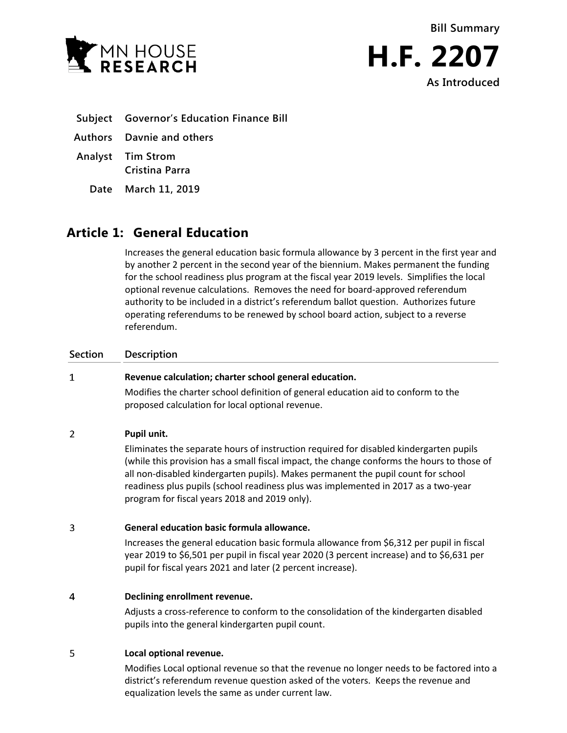



- **Subject Governor's Education Finance Bill**
- **Authors Davnie and others**
- **Analyst Tim Strom Cristina Parra**
	- **Date March 11, 2019**

# **Article 1: General Education**

Increases the general education basic formula allowance by 3 percent in the first year and by another 2 percent in the second year of the biennium. Makes permanent the funding for the school readiness plus program at the fiscal year 2019 levels. Simplifies the local optional revenue calculations. Removes the need for board-approved referendum authority to be included in a district's referendum ballot question. Authorizes future operating referendums to be renewed by school board action, subject to a reverse referendum.

### **Section Description**

### $\mathbf{1}$ **Revenue calculation; charter school general education.**

Modifies the charter school definition of general education aid to conform to the proposed calculation for local optional revenue.

### $\overline{2}$ **Pupil unit.**

Eliminates the separate hours of instruction required for disabled kindergarten pupils (while this provision has a small fiscal impact, the change conforms the hours to those of all non-disabled kindergarten pupils). Makes permanent the pupil count for school readiness plus pupils (school readiness plus was implemented in 2017 as a two-year program for fiscal years 2018 and 2019 only).

### 3 **General education basic formula allowance.**

Increases the general education basic formula allowance from \$6,312 per pupil in fiscal year 2019 to \$6,501 per pupil in fiscal year 2020 (3 percent increase) and to \$6,631 per pupil for fiscal years 2021 and later (2 percent increase).

### $\overline{4}$ **Declining enrollment revenue.**

Adjusts a cross-reference to conform to the consolidation of the kindergarten disabled pupils into the general kindergarten pupil count.

### 5 **Local optional revenue.**

Modifies Local optional revenue so that the revenue no longer needs to be factored into a district's referendum revenue question asked of the voters. Keeps the revenue and equalization levels the same as under current law.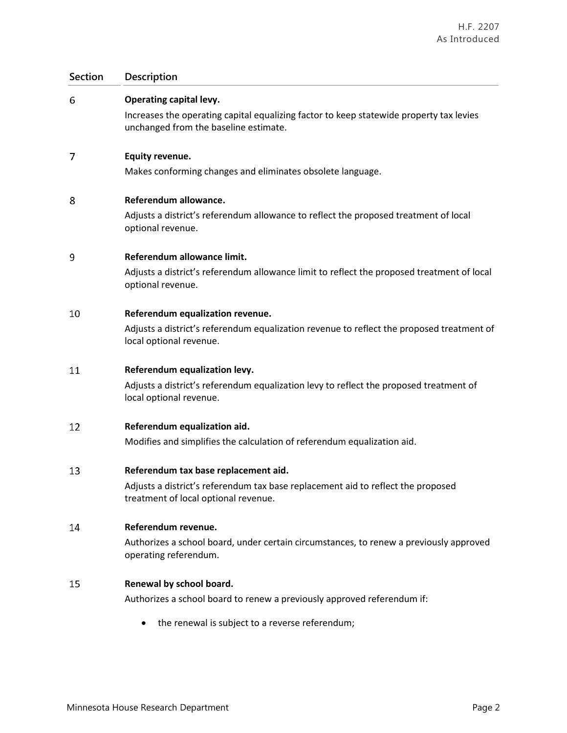| <b>Section</b> | Description                                                                                                               |
|----------------|---------------------------------------------------------------------------------------------------------------------------|
| 6              | <b>Operating capital levy.</b><br>Increases the operating capital equalizing factor to keep statewide property tax levies |
|                | unchanged from the baseline estimate.                                                                                     |
| 7              | Equity revenue.                                                                                                           |
|                | Makes conforming changes and eliminates obsolete language.                                                                |
| 8              | Referendum allowance.                                                                                                     |
|                | Adjusts a district's referendum allowance to reflect the proposed treatment of local<br>optional revenue.                 |
| 9              | Referendum allowance limit.                                                                                               |
|                | Adjusts a district's referendum allowance limit to reflect the proposed treatment of local<br>optional revenue.           |
| 10             | Referendum equalization revenue.                                                                                          |
|                | Adjusts a district's referendum equalization revenue to reflect the proposed treatment of<br>local optional revenue.      |
| 11             | Referendum equalization levy.                                                                                             |
|                | Adjusts a district's referendum equalization levy to reflect the proposed treatment of<br>local optional revenue.         |
| 12             | Referendum equalization aid.                                                                                              |
|                | Modifies and simplifies the calculation of referendum equalization aid.                                                   |
| 13             | Referendum tax base replacement aid.                                                                                      |
|                | Adjusts a district's referendum tax base replacement aid to reflect the proposed<br>treatment of local optional revenue.  |
| 14             | Referendum revenue.                                                                                                       |
|                | Authorizes a school board, under certain circumstances, to renew a previously approved<br>operating referendum.           |
| 15             | Renewal by school board.                                                                                                  |
|                | Authorizes a school board to renew a previously approved referendum if:                                                   |
|                | the renewal is subject to a reverse referendum;                                                                           |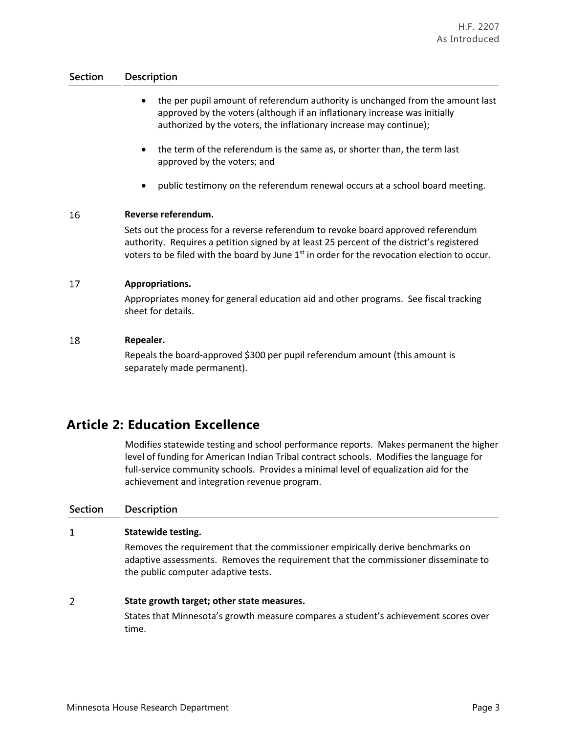- the per pupil amount of referendum authority is unchanged from the amount last approved by the voters (although if an inflationary increase was initially authorized by the voters, the inflationary increase may continue);
- the term of the referendum is the same as, or shorter than, the term last approved by the voters; and
- public testimony on the referendum renewal occurs at a school board meeting.

### 16 **Reverse referendum.**

Sets out the process for a reverse referendum to revoke board approved referendum authority. Requires a petition signed by at least 25 percent of the district's registered voters to be filed with the board by June  $1<sup>st</sup>$  in order for the revocation election to occur.

### 17 **Appropriations.**

Appropriates money for general education aid and other programs. See fiscal tracking sheet for details.

### 18 **Repealer.**

Repeals the board-approved \$300 per pupil referendum amount (this amount is separately made permanent).

# **Article 2: Education Excellence**

Modifies statewide testing and school performance reports. Makes permanent the higher level of funding for American Indian Tribal contract schools. Modifies the language for full-service community schools. Provides a minimal level of equalization aid for the achievement and integration revenue program.

| Section | <b>Description</b>                                                                                                                                                                                          |
|---------|-------------------------------------------------------------------------------------------------------------------------------------------------------------------------------------------------------------|
| 1       | <b>Statewide testing.</b>                                                                                                                                                                                   |
|         | Removes the requirement that the commissioner empirically derive benchmarks on<br>adaptive assessments. Removes the requirement that the commissioner disseminate to<br>the public computer adaptive tests. |
| 2       | State growth target; other state measures.                                                                                                                                                                  |
|         | States that Minnesota's growth measure compares a student's achievement scores over<br>time.                                                                                                                |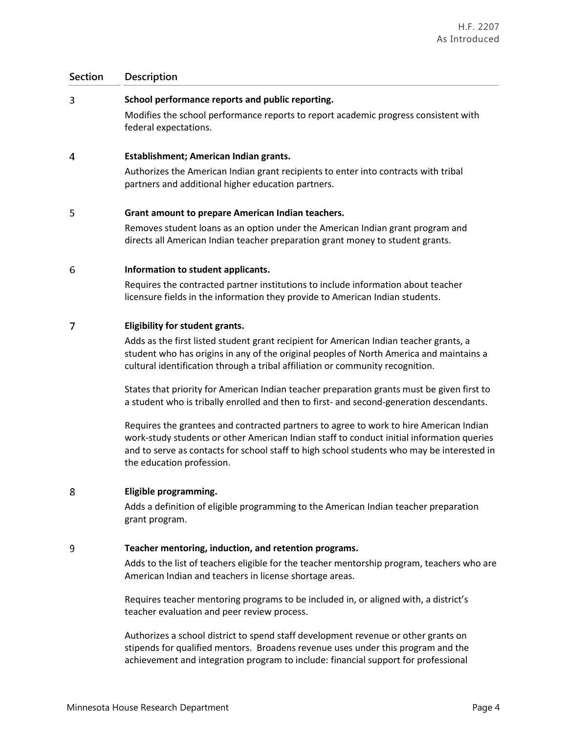### $\overline{3}$ **School performance reports and public reporting.**

Modifies the school performance reports to report academic progress consistent with federal expectations.

### 4 **Establishment; American Indian grants.**

Authorizes the American Indian grant recipients to enter into contracts with tribal partners and additional higher education partners.

#### 5 **Grant amount to prepare American Indian teachers.**

Removes student loans as an option under the American Indian grant program and directs all American Indian teacher preparation grant money to student grants.

#### 6 **Information to student applicants.**

Requires the contracted partner institutions to include information about teacher licensure fields in the information they provide to American Indian students.

### $\overline{7}$ **Eligibility for student grants.**

Adds as the first listed student grant recipient for American Indian teacher grants, a student who has origins in any of the original peoples of North America and maintains a cultural identification through a tribal affiliation or community recognition.

States that priority for American Indian teacher preparation grants must be given first to a student who is tribally enrolled and then to first- and second-generation descendants.

Requires the grantees and contracted partners to agree to work to hire American Indian work-study students or other American Indian staff to conduct initial information queries and to serve as contacts for school staff to high school students who may be interested in the education profession.

### 8 **Eligible programming.**

Adds a definition of eligible programming to the American Indian teacher preparation grant program.

### 9 **Teacher mentoring, induction, and retention programs.**

Adds to the list of teachers eligible for the teacher mentorship program, teachers who are American Indian and teachers in license shortage areas.

Requires teacher mentoring programs to be included in, or aligned with, a district's teacher evaluation and peer review process.

Authorizes a school district to spend staff development revenue or other grants on stipends for qualified mentors. Broadens revenue uses under this program and the achievement and integration program to include: financial support for professional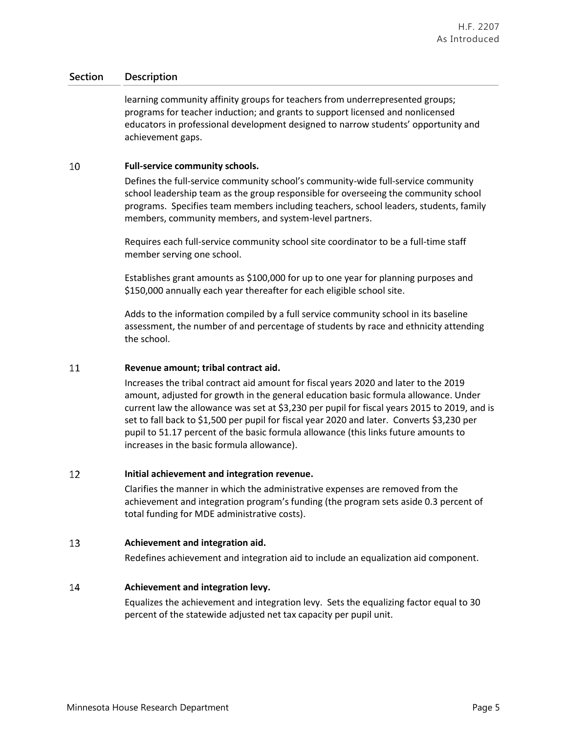learning community affinity groups for teachers from underrepresented groups; programs for teacher induction; and grants to support licensed and nonlicensed educators in professional development designed to narrow students' opportunity and achievement gaps.

### 10 **Full-service community schools.**

Defines the full-service community school's community-wide full-service community school leadership team as the group responsible for overseeing the community school programs. Specifies team members including teachers, school leaders, students, family members, community members, and system-level partners.

Requires each full-service community school site coordinator to be a full-time staff member serving one school.

Establishes grant amounts as \$100,000 for up to one year for planning purposes and \$150,000 annually each year thereafter for each eligible school site.

Adds to the information compiled by a full service community school in its baseline assessment, the number of and percentage of students by race and ethnicity attending the school.

### 11 **Revenue amount; tribal contract aid.**

Increases the tribal contract aid amount for fiscal years 2020 and later to the 2019 amount, adjusted for growth in the general education basic formula allowance. Under current law the allowance was set at \$3,230 per pupil for fiscal years 2015 to 2019, and is set to fall back to \$1,500 per pupil for fiscal year 2020 and later. Converts \$3,230 per pupil to 51.17 percent of the basic formula allowance (this links future amounts to increases in the basic formula allowance).

#### 12 **Initial achievement and integration revenue.**

Clarifies the manner in which the administrative expenses are removed from the achievement and integration program's funding (the program sets aside 0.3 percent of total funding for MDE administrative costs).

### 13 **Achievement and integration aid.**

Redefines achievement and integration aid to include an equalization aid component.

### 14 **Achievement and integration levy.**

Equalizes the achievement and integration levy. Sets the equalizing factor equal to 30 percent of the statewide adjusted net tax capacity per pupil unit.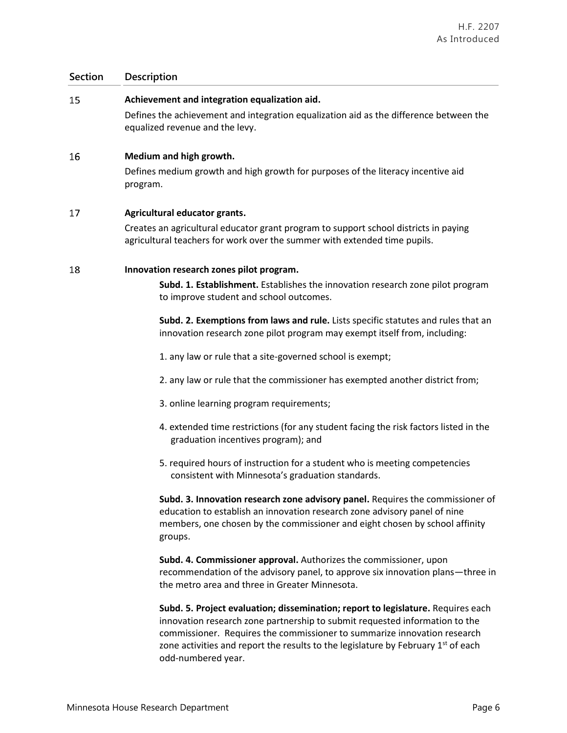### 15 **Achievement and integration equalization aid.**

Defines the achievement and integration equalization aid as the difference between the equalized revenue and the levy.

#### **16 Medium and high growth.**

Defines medium growth and high growth for purposes of the literacy incentive aid program.

#### 17 **Agricultural educator grants.**

Creates an agricultural educator grant program to support school districts in paying agricultural teachers for work over the summer with extended time pupils.

#### 18 **Innovation research zones pilot program.**

**Subd. 1. Establishment.** Establishes the innovation research zone pilot program to improve student and school outcomes.

**Subd. 2. Exemptions from laws and rule.** Lists specific statutes and rules that an innovation research zone pilot program may exempt itself from, including:

1. any law or rule that a site-governed school is exempt;

- 2. any law or rule that the commissioner has exempted another district from;
- 3. online learning program requirements;
- 4. extended time restrictions (for any student facing the risk factors listed in the graduation incentives program); and
- 5. required hours of instruction for a student who is meeting competencies consistent with Minnesota's graduation standards.

**Subd. 3. Innovation research zone advisory panel.** Requires the commissioner of education to establish an innovation research zone advisory panel of nine members, one chosen by the commissioner and eight chosen by school affinity groups.

**Subd. 4. Commissioner approval.** Authorizes the commissioner, upon recommendation of the advisory panel, to approve six innovation plans—three in the metro area and three in Greater Minnesota.

**Subd. 5. Project evaluation; dissemination; report to legislature.** Requires each innovation research zone partnership to submit requested information to the commissioner. Requires the commissioner to summarize innovation research zone activities and report the results to the legislature by February  $1<sup>st</sup>$  of each odd-numbered year.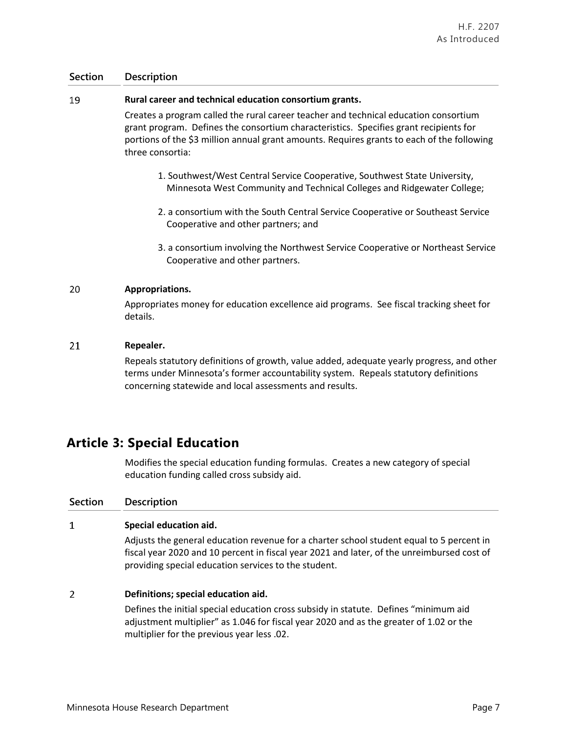### 19 **Rural career and technical education consortium grants.**

Creates a program called the rural career teacher and technical education consortium grant program. Defines the consortium characteristics. Specifies grant recipients for portions of the \$3 million annual grant amounts. Requires grants to each of the following three consortia:

- 1. Southwest/West Central Service Cooperative, Southwest State University, Minnesota West Community and Technical Colleges and Ridgewater College;
- 2. a consortium with the South Central Service Cooperative or Southeast Service Cooperative and other partners; and
- 3. a consortium involving the Northwest Service Cooperative or Northeast Service Cooperative and other partners.

#### 20 **Appropriations.**

Appropriates money for education excellence aid programs. See fiscal tracking sheet for details.

### 21 **Repealer.**

Repeals statutory definitions of growth, value added, adequate yearly progress, and other terms under Minnesota's former accountability system. Repeals statutory definitions concerning statewide and local assessments and results.

## **Article 3: Special Education**

Modifies the special education funding formulas. Creates a new category of special education funding called cross subsidy aid.

### **Section Description**

### $\mathbf{1}$ **Special education aid.**

Adjusts the general education revenue for a charter school student equal to 5 percent in fiscal year 2020 and 10 percent in fiscal year 2021 and later, of the unreimbursed cost of providing special education services to the student.

### $\overline{2}$ **Definitions; special education aid.**

Defines the initial special education cross subsidy in statute. Defines "minimum aid adjustment multiplier" as 1.046 for fiscal year 2020 and as the greater of 1.02 or the multiplier for the previous year less .02.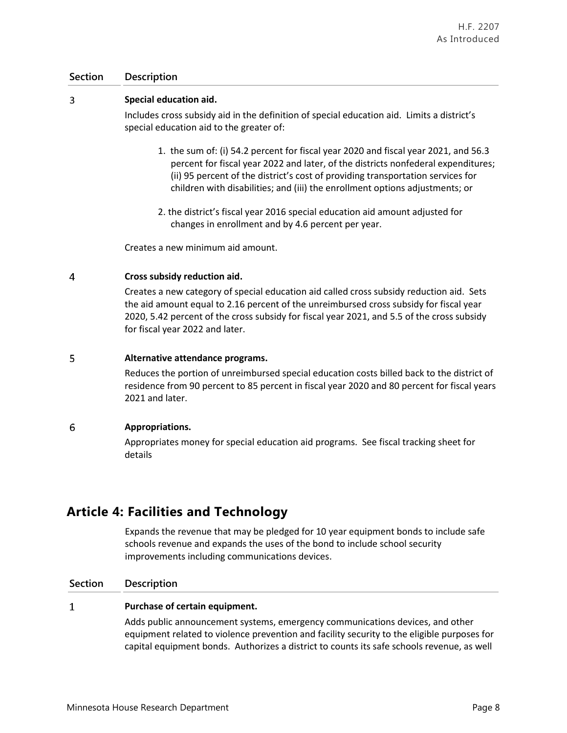### $\overline{3}$ **Special education aid.**

Includes cross subsidy aid in the definition of special education aid. Limits a district's special education aid to the greater of:

- 1. the sum of: (i) 54.2 percent for fiscal year 2020 and fiscal year 2021, and 56.3 percent for fiscal year 2022 and later, of the districts nonfederal expenditures; (ii) 95 percent of the district's cost of providing transportation services for children with disabilities; and (iii) the enrollment options adjustments; or
- 2. the district's fiscal year 2016 special education aid amount adjusted for changes in enrollment and by 4.6 percent per year.

Creates a new minimum aid amount.

#### $\overline{4}$ **Cross subsidy reduction aid.**

Creates a new category of special education aid called cross subsidy reduction aid. Sets the aid amount equal to 2.16 percent of the unreimbursed cross subsidy for fiscal year 2020, 5.42 percent of the cross subsidy for fiscal year 2021, and 5.5 of the cross subsidy for fiscal year 2022 and later.

### 5 **Alternative attendance programs.**

Reduces the portion of unreimbursed special education costs billed back to the district of residence from 90 percent to 85 percent in fiscal year 2020 and 80 percent for fiscal years 2021 and later.

### 6 **Appropriations.**

Appropriates money for special education aid programs. See fiscal tracking sheet for details

## **Article 4: Facilities and Technology**

Expands the revenue that may be pledged for 10 year equipment bonds to include safe schools revenue and expands the uses of the bond to include school security improvements including communications devices.

### **Section Description**

### $\mathbf{1}$ **Purchase of certain equipment.**

Adds public announcement systems, emergency communications devices, and other equipment related to violence prevention and facility security to the eligible purposes for capital equipment bonds. Authorizes a district to counts its safe schools revenue, as well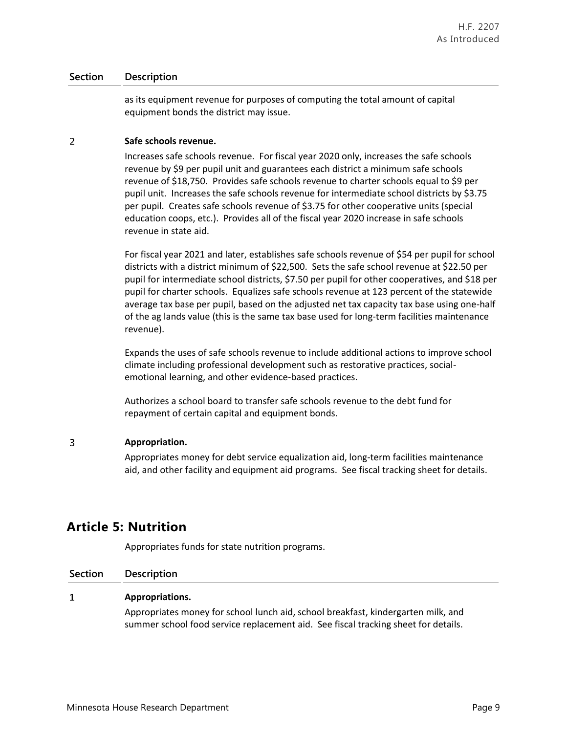as its equipment revenue for purposes of computing the total amount of capital equipment bonds the district may issue.

#### $\overline{2}$ **Safe schools revenue.**

Increases safe schools revenue. For fiscal year 2020 only, increases the safe schools revenue by \$9 per pupil unit and guarantees each district a minimum safe schools revenue of \$18,750. Provides safe schools revenue to charter schools equal to \$9 per pupil unit. Increases the safe schools revenue for intermediate school districts by \$3.75 per pupil. Creates safe schools revenue of \$3.75 for other cooperative units (special education coops, etc.). Provides all of the fiscal year 2020 increase in safe schools revenue in state aid.

For fiscal year 2021 and later, establishes safe schools revenue of \$54 per pupil for school districts with a district minimum of \$22,500. Sets the safe school revenue at \$22.50 per pupil for intermediate school districts, \$7.50 per pupil for other cooperatives, and \$18 per pupil for charter schools. Equalizes safe schools revenue at 123 percent of the statewide average tax base per pupil, based on the adjusted net tax capacity tax base using one-half of the ag lands value (this is the same tax base used for long-term facilities maintenance revenue).

Expands the uses of safe schools revenue to include additional actions to improve school climate including professional development such as restorative practices, socialemotional learning, and other evidence-based practices.

Authorizes a school board to transfer safe schools revenue to the debt fund for repayment of certain capital and equipment bonds.

### 3 **Appropriation.**

Appropriates money for debt service equalization aid, long-term facilities maintenance aid, and other facility and equipment aid programs. See fiscal tracking sheet for details.

# **Article 5: Nutrition**

Appropriates funds for state nutrition programs.

### **Section Description**

#### $\mathbf{1}$ **Appropriations.**

Appropriates money for school lunch aid, school breakfast, kindergarten milk, and summer school food service replacement aid. See fiscal tracking sheet for details.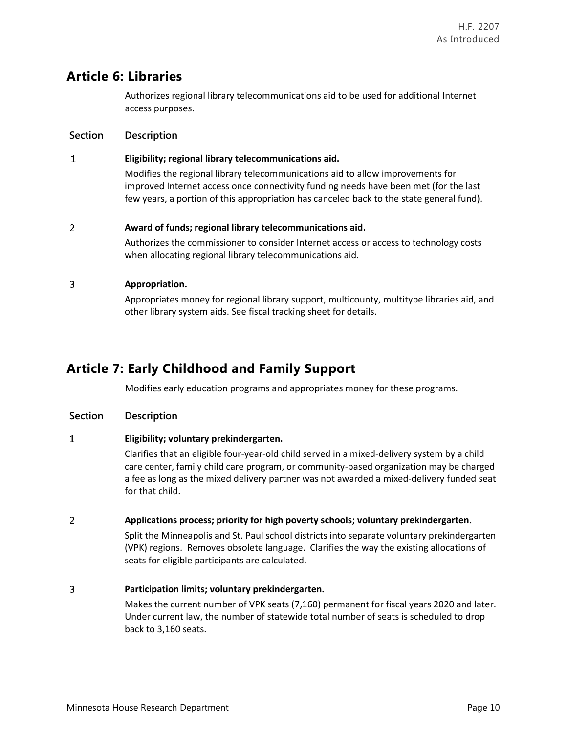# **Article 6: Libraries**

Authorizes regional library telecommunications aid to be used for additional Internet access purposes.

| <b>Section</b> | <b>Description</b>                                                                                                                                                                                                                                                 |
|----------------|--------------------------------------------------------------------------------------------------------------------------------------------------------------------------------------------------------------------------------------------------------------------|
|                | Eligibility; regional library telecommunications aid.                                                                                                                                                                                                              |
|                | Modifies the regional library telecommunications aid to allow improvements for<br>improved Internet access once connectivity funding needs have been met (for the last<br>few years, a portion of this appropriation has canceled back to the state general fund). |
| 2              | Award of funds; regional library telecommunications aid.                                                                                                                                                                                                           |
|                | Authorizes the commissioner to consider Internet access or access to technology costs<br>when allocating regional library telecommunications aid.                                                                                                                  |
| 3              | Appropriation.                                                                                                                                                                                                                                                     |
|                | Appropriates money for regional library support, multicounty, multitype libraries aid, and                                                                                                                                                                         |

other library system aids. See fiscal tracking sheet for details.

# **Article 7: Early Childhood and Family Support**

Modifies early education programs and appropriates money for these programs.

| <b>Section</b> | <b>Description</b>                                                                                                                                                                                                                                                                                   |
|----------------|------------------------------------------------------------------------------------------------------------------------------------------------------------------------------------------------------------------------------------------------------------------------------------------------------|
| 1              | Eligibility; voluntary prekindergarten.                                                                                                                                                                                                                                                              |
|                | Clarifies that an eligible four-year-old child served in a mixed-delivery system by a child<br>care center, family child care program, or community-based organization may be charged<br>a fee as long as the mixed delivery partner was not awarded a mixed-delivery funded seat<br>for that child. |
| $\overline{2}$ | Applications process; priority for high poverty schools; voluntary prekindergarten.                                                                                                                                                                                                                  |
|                | Split the Minneapolis and St. Paul school districts into separate voluntary prekindergarten<br>(VPK) regions. Removes obsolete language. Clarifies the way the existing allocations of<br>seats for eligible participants are calculated.                                                            |
| 3              | Participation limits; voluntary prekindergarten.                                                                                                                                                                                                                                                     |
|                | Makes the current number of VPK seats (7,160) permanent for fiscal years 2020 and later.<br>Under current law, the number of statewide total number of seats is scheduled to drop                                                                                                                    |

back to 3,160 seats.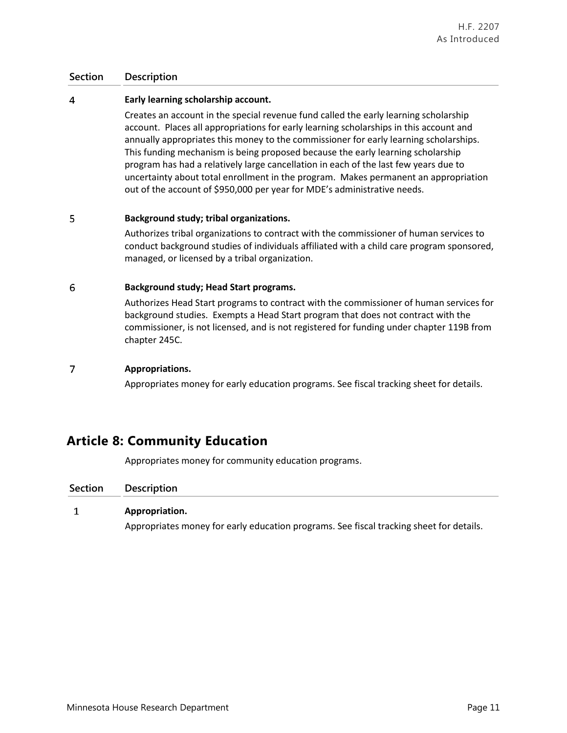### $\overline{4}$ **Early learning scholarship account.**

Creates an account in the special revenue fund called the early learning scholarship account. Places all appropriations for early learning scholarships in this account and annually appropriates this money to the commissioner for early learning scholarships. This funding mechanism is being proposed because the early learning scholarship program has had a relatively large cancellation in each of the last few years due to uncertainty about total enrollment in the program. Makes permanent an appropriation out of the account of \$950,000 per year for MDE's administrative needs.

### 5 **Background study; tribal organizations.**

Authorizes tribal organizations to contract with the commissioner of human services to conduct background studies of individuals affiliated with a child care program sponsored, managed, or licensed by a tribal organization.

### 6 **Background study; Head Start programs.**

Authorizes Head Start programs to contract with the commissioner of human services for background studies. Exempts a Head Start program that does not contract with the commissioner, is not licensed, and is not registered for funding under chapter 119B from chapter 245C.

### $\overline{7}$ **Appropriations.**

Appropriates money for early education programs. See fiscal tracking sheet for details.

# **Article 8: Community Education**

Appropriates money for community education programs.

### **Section Description**

### $\mathbf{1}$ **Appropriation.**

Appropriates money for early education programs. See fiscal tracking sheet for details.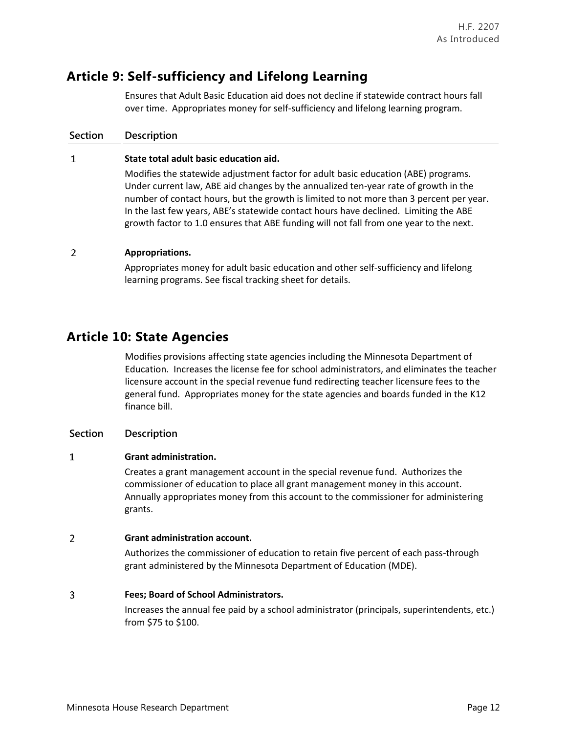# **Article 9: Self-sufficiency and Lifelong Learning**

Ensures that Adult Basic Education aid does not decline if statewide contract hours fall over time. Appropriates money for self-sufficiency and lifelong learning program.

### **Section Description**

### $\mathbf{1}$ **State total adult basic education aid.**

Modifies the statewide adjustment factor for adult basic education (ABE) programs. Under current law, ABE aid changes by the annualized ten-year rate of growth in the number of contact hours, but the growth is limited to not more than 3 percent per year. In the last few years, ABE's statewide contact hours have declined. Limiting the ABE growth factor to 1.0 ensures that ABE funding will not fall from one year to the next.

### $\overline{2}$ **Appropriations.**

Appropriates money for adult basic education and other self-sufficiency and lifelong learning programs. See fiscal tracking sheet for details.

# **Article 10: State Agencies**

Modifies provisions affecting state agencies including the Minnesota Department of Education. Increases the license fee for school administrators, and eliminates the teacher licensure account in the special revenue fund redirecting teacher licensure fees to the general fund. Appropriates money for the state agencies and boards funded in the K12 finance bill.

### **Section Description**

### $\mathbf{1}$ **Grant administration.**

Creates a grant management account in the special revenue fund. Authorizes the commissioner of education to place all grant management money in this account. Annually appropriates money from this account to the commissioner for administering grants.

### $\overline{2}$ **Grant administration account.**

Authorizes the commissioner of education to retain five percent of each pass-through grant administered by the Minnesota Department of Education (MDE).

### 3 **Fees; Board of School Administrators.**

Increases the annual fee paid by a school administrator (principals, superintendents, etc.) from \$75 to \$100.